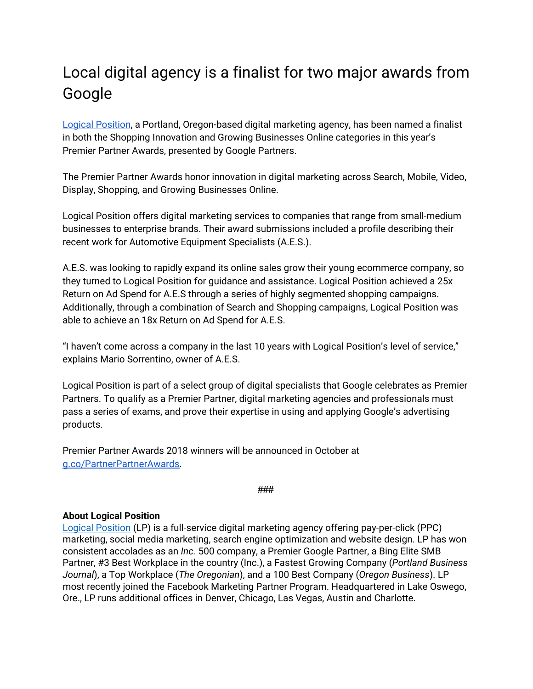## Local digital agency is a finalist for two major awards from Google

Logical [Position](https://www.logicalposition.com/), a Portland, Oregon-based digital marketing agency, has been named a finalist in both the Shopping Innovation and Growing Businesses Online categories in this year's Premier Partner Awards, presented by Google Partners.

The Premier Partner Awards honor innovation in digital marketing across Search, Mobile, Video, Display, Shopping, and Growing Businesses Online.

Logical Position offers digital marketing services to companies that range from small-medium businesses to enterprise brands. Their award submissions included a profile describing their recent work for Automotive Equipment Specialists (A.E.S.).

A.E.S. was looking to rapidly expand its online sales grow their young ecommerce company, so they turned to Logical Position for guidance and assistance. Logical Position achieved a 25x Return on Ad Spend for A.E.S through a series of highly segmented shopping campaigns. Additionally, through a combination of Search and Shopping campaigns, Logical Position was able to achieve an 18x Return on Ad Spend for A.E.S.

"I haven't come across a company in the last 10 years with Logical Position's level of service," explains Mario Sorrentino, owner of A.E.S.

Logical Position is part of a select group of digital specialists that Google celebrates as Premier Partners. To qualify as a Premier Partner, digital marketing agencies and professionals must pass a series of exams, and prove their expertise in using and applying Google's advertising products.

Premier Partner Awards 2018 winners will be announced in October a[t](http://g.co/premierpartnerawards) [g.co/PartnerPartnerAwards](http://g.co/premierpartnerawards).

```
###
```
## **About Logical Position**

Logical [Position](http://www.logicalposition.com/) (LP) is a full-service digital marketing agency offering pay-per-click (PPC) marketing, social media marketing, search engine optimization and website design. LP has won consistent accolades as an *Inc.* 500 company, a Premier Google Partner, a Bing Elite SMB Partner, #3 Best Workplace in the country (Inc.), a Fastest Growing Company (*Portland Business Journal*), a Top Workplace (*The Oregonian*), and a 100 Best Company (*Oregon Business*). LP most recently joined the Facebook Marketing Partner Program. Headquartered in Lake Oswego, Ore., LP runs additional offices in Denver, Chicago, Las Vegas, Austin and Charlotte.